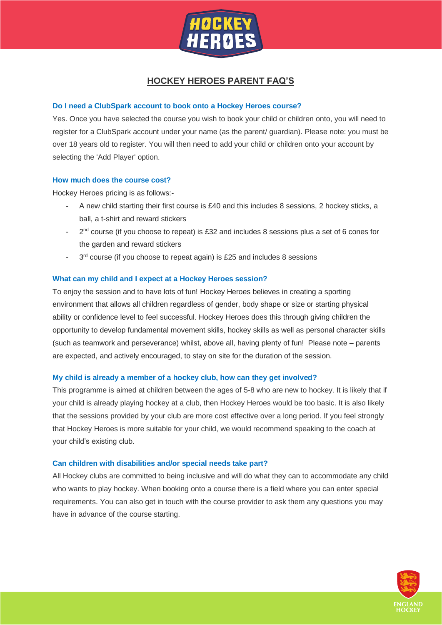

# **HOCKEY HEROES PARENT FAQ'S**

# **Do I need a ClubSpark account to book onto a Hockey Heroes course?**

Yes. Once you have selected the course you wish to book your child or children onto, you will need to register for a ClubSpark account under your name (as the parent/ guardian). Please note: you must be over 18 years old to register. You will then need to add your child or children onto your account by selecting the 'Add Player' option.

# **How much does the course cost?**

Hockey Heroes pricing is as follows:-

- A new child starting their first course is £40 and this includes 8 sessions, 2 hockey sticks, a ball, a t-shirt and reward stickers
- $2<sup>nd</sup>$  course (if you choose to repeat) is £32 and includes 8 sessions plus a set of 6 cones for the garden and reward stickers
- $-$  3<sup>rd</sup> course (if you choose to repeat again) is £25 and includes 8 sessions

# **What can my child and I expect at a Hockey Heroes session?**

To enjoy the session and to have lots of fun! Hockey Heroes believes in creating a sporting environment that allows all children regardless of gender, body shape or size or starting physical ability or confidence level to feel successful. Hockey Heroes does this through giving children the opportunity to develop fundamental movement skills, hockey skills as well as personal character skills (such as teamwork and perseverance) whilst, above all, having plenty of fun! Please note – parents are expected, and actively encouraged, to stay on site for the duration of the session.

# **My child is already a member of a hockey club, how can they get involved?**

This programme is aimed at children between the ages of 5-8 who are new to hockey. It is likely that if your child is already playing hockey at a club, then Hockey Heroes would be too basic. It is also likely that the sessions provided by your club are more cost effective over a long period. If you feel strongly that Hockey Heroes is more suitable for your child, we would recommend speaking to the coach at your child's existing club.

# **Can children with disabilities and/or special needs take part?**

All Hockey clubs are committed to being inclusive and will do what they can to accommodate any child who wants to play hockey. When booking onto a course there is a field where you can enter special requirements. You can also get in touch with the course provider to ask them any questions you may have in advance of the course starting.

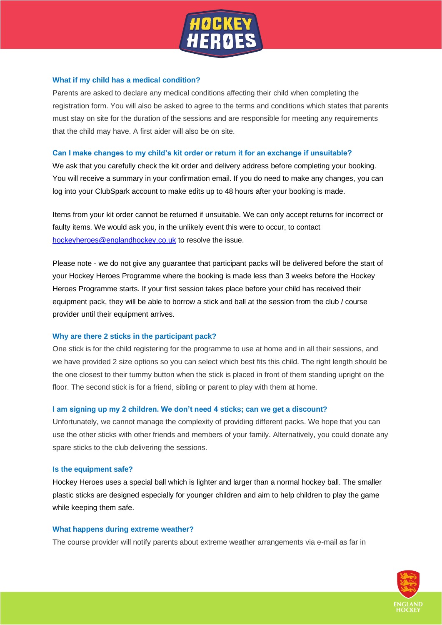

## **What if my child has a medical condition?**

Parents are asked to declare any medical conditions affecting their child when completing the registration form. You will also be asked to agree to the terms and conditions which states that parents must stay on site for the duration of the sessions and are responsible for meeting any requirements that the child may have. A first aider will also be on site.

### **Can I make changes to my child's kit order or return it for an exchange if unsuitable?**

We ask that you carefully check the kit order and delivery address before completing your booking. You will receive a summary in your confirmation email. If you do need to make any changes, you can log into your ClubSpark account to make edits up to 48 hours after your booking is made.

Items from your kit order cannot be returned if unsuitable. We can only accept returns for incorrect or faulty items. We would ask you, in the unlikely event this were to occur, to contact [hockeyheroes@englandhockey.co.uk](mailto:hockeyheroes@englandhockey.co.uk) to resolve the issue.

Please note - we do not give any guarantee that participant packs will be delivered before the start of your Hockey Heroes Programme where the booking is made less than 3 weeks before the Hockey Heroes Programme starts. If your first session takes place before your child has received their equipment pack, they will be able to borrow a stick and ball at the session from the club / course provider until their equipment arrives.

# **Why are there 2 sticks in the participant pack?**

One stick is for the child registering for the programme to use at home and in all their sessions, and we have provided 2 size options so you can select which best fits this child. The right length should be the one closest to their tummy button when the stick is placed in front of them standing upright on the floor. The second stick is for a friend, sibling or parent to play with them at home.

#### **I am signing up my 2 children. We don't need 4 sticks; can we get a discount?**

Unfortunately, we cannot manage the complexity of providing different packs. We hope that you can use the other sticks with other friends and members of your family. Alternatively, you could donate any spare sticks to the club delivering the sessions.

#### **Is the equipment safe?**

Hockey Heroes uses a special ball which is lighter and larger than a normal hockey ball. The smaller plastic sticks are designed especially for younger children and aim to help children to play the game while keeping them safe.

#### **What happens during extreme weather?**

The course provider will notify parents about extreme weather arrangements via e-mail as far in

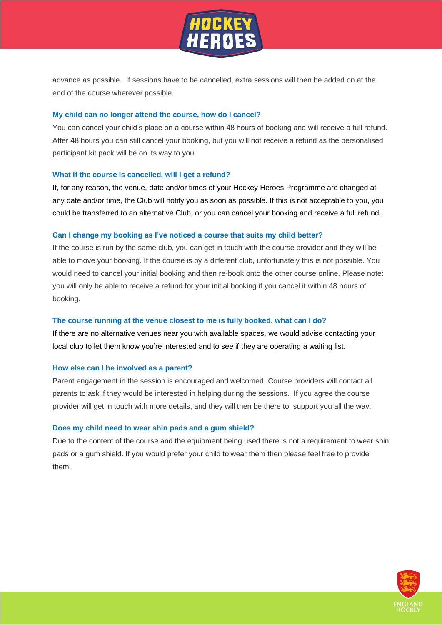

advance as possible. If sessions have to be cancelled, extra sessions will then be added on at the end of the course wherever possible.

#### **My child can no longer attend the course, how do I cancel?**

You can cancel your child's place on a course within 48 hours of booking and will receive a full refund. After 48 hours you can still cancel your booking, but you will not receive a refund as the personalised participant kit pack will be on its way to you.

#### **What if the course is cancelled, will I get a refund?**

If, for any reason, the venue, date and/or times of your Hockey Heroes Programme are changed at any date and/or time, the Club will notify you as soon as possible. If this is not acceptable to you, you could be transferred to an alternative Club, or you can cancel your booking and receive a full refund.

#### **Can I change my booking as I've noticed a course that suits my child better?**

If the course is run by the same club, you can get in touch with the course provider and they will be able to move your booking. If the course is by a different club, unfortunately this is not possible. You would need to cancel your initial booking and then re-book onto the other course online. Please note: you will only be able to receive a refund for your initial booking if you cancel it within 48 hours of booking.

#### **The course running at the venue closest to me is fully booked, what can I do?**

If there are no alternative venues near you with available spaces, we would advise contacting your local club to let them know you're interested and to see if they are operating a waiting list.

#### **How else can I be involved as a parent?**

Parent engagement in the session is encouraged and welcomed. Course providers will contact all parents to ask if they would be interested in helping during the sessions. If you agree the course provider will get in touch with more details, and they will then be there to support you all the way.

#### **Does my child need to wear shin pads and a gum shield?**

Due to the content of the course and the equipment being used there is not a requirement to wear shin pads or a gum shield. If you would prefer your child to wear them then please feel free to provide them.

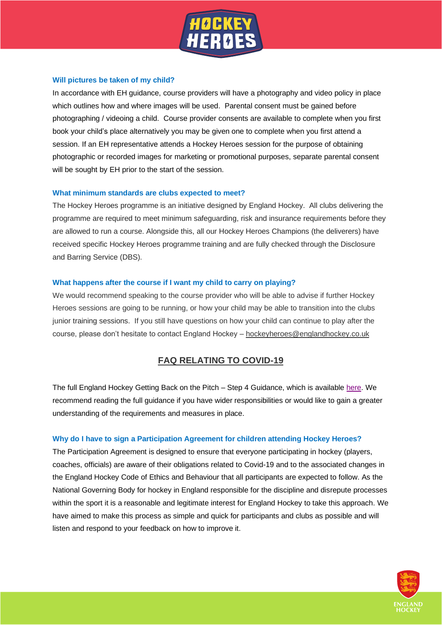

# **Will pictures be taken of my child?**

In accordance with EH guidance, course providers will have a photography and video policy in place which outlines how and where images will be used. Parental consent must be gained before photographing / videoing a child. Course provider consents are available to complete when you first book your child's place alternatively you may be given one to complete when you first attend a session. If an EH representative attends a Hockey Heroes session for the purpose of obtaining photographic or recorded images for marketing or promotional purposes, separate parental consent will be sought by EH prior to the start of the session.

# **What minimum standards are clubs expected to meet?**

The Hockey Heroes programme is an initiative designed by England Hockey. All clubs delivering the programme are required to meet minimum safeguarding, risk and insurance requirements before they are allowed to run a course. Alongside this, all our Hockey Heroes Champions (the deliverers) have received specific Hockey Heroes programme training and are fully checked through the Disclosure and Barring Service (DBS).

# **What happens after the course if I want my child to carry on playing?**

We would recommend speaking to the course provider who will be able to advise if further Hockey Heroes sessions are going to be running, or how your child may be able to transition into the clubs junior training sessions. If you still have questions on how your child can continue to play after the course, please don't hesitate to contact England Hockey – [hockeyheroes@englandhockey.co.uk](mailto:hockeyheroes@englandhockey.co.uk)

# **FAQ RELATING TO COVID-19**

The full England Hockey Getting Back on the Pitch – Step 4 Guidance, which is available [here.](http://www.englandhockey.co.uk/Covid19) We recommend reading the full guidance if you have wider responsibilities or would like to gain a greater understanding of the requirements and measures in place.

# **Why do I have to sign a Participation Agreement for children attending Hockey Heroes?**

The Participation Agreement is designed to ensure that everyone participating in hockey (players, coaches, officials) are aware of their obligations related to Covid-19 and to the associated changes in the England Hockey Code of Ethics and Behaviour that all participants are expected to follow. As the National Governing Body for hockey in England responsible for the discipline and disrepute processes within the sport it is a reasonable and legitimate interest for England Hockey to take this approach. We have aimed to make this process as simple and quick for participants and clubs as possible and will listen and respond to your feedback on how to improve it.